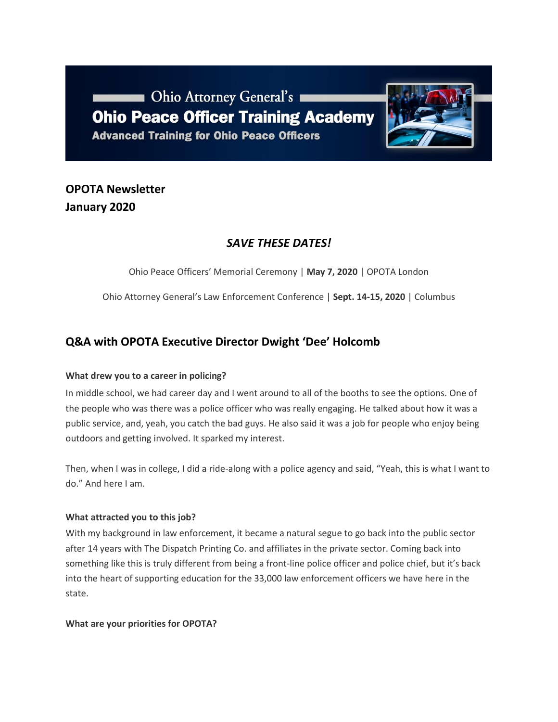Ohio Attorney General's **Ohio Peace Officer Training Academy Advanced Training for Ohio Peace Officers** 



# **OPOTA Newsletter January 2020**

## *SAVE THESE DATES!*

Ohio Peace Officers' Memorial Ceremony | **May 7, 2020** | OPOTA London

Ohio Attorney General's Law Enforcement Conference | **Sept. 14-15, 2020** | Columbus

## **Q&A with OPOTA Executive Director Dwight 'Dee' Holcomb**

#### **What drew you to a career in policing?**

In middle school, we had career day and I went around to all of the booths to see the options. One of the people who was there was a police officer who was really engaging. He talked about how it was a public service, and, yeah, you catch the bad guys. He also said it was a job for people who enjoy being outdoors and getting involved. It sparked my interest.

Then, when I was in college, I did a ride-along with a police agency and said, "Yeah, this is what I want to do." And here I am.

#### **What attracted you to this job?**

With my background in law enforcement, it became a natural segue to go back into the public sector after 14 years with The Dispatch Printing Co. and affiliates in the private sector. Coming back into something like this is truly different from being a front-line police officer and police chief, but it's back into the heart of supporting education for the 33,000 law enforcement officers we have here in the state.

#### **What are your priorities for OPOTA?**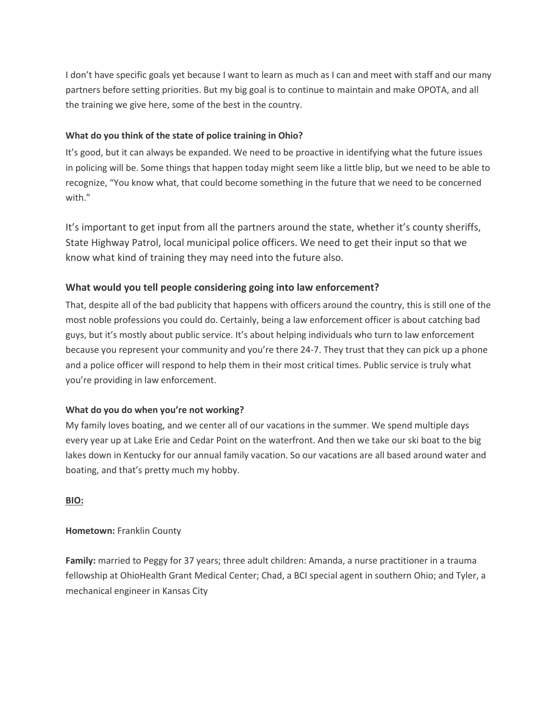I don't have specific goals yet because I want to learn as much as I can and meet with staff and our many partners before setting priorities. But my big goal is to continue to maintain and make OPOTA, and all the training we give here, some of the best in the country.

#### **What do you think of the state of police training in Ohio?**

It's good, but it can always be expanded. We need to be proactive in identifying what the future issues in policing will be. Some things that happen today might seem like a little blip, but we need to be able to recognize, "You know what, that could become something in the future that we need to be concerned with."

It's important to get input from all the partners around the state, whether it's county sheriffs, State Highway Patrol, local municipal police officers. We need to get their input so that we know what kind of training they may need into the future also.

#### **What would you tell people considering going into law enforcement?**

That, despite all of the bad publicity that happens with officers around the country, this is still one of the most noble professions you could do. Certainly, being a law enforcement officer is about catching bad guys, but it's mostly about public service. It's about helping individuals who turn to law enforcement because you represent your community and you're there 24-7. They trust that they can pick up a phone and a police officer will respond to help them in their most critical times. Public service is truly what you're providing in law enforcement.

#### **What do you do when you're not working?**

My family loves boating, and we center all of our vacations in the summer. We spend multiple days every year up at Lake Erie and Cedar Point on the waterfront. And then we take our ski boat to the big lakes down in Kentucky for our annual family vacation. So our vacations are all based around water and boating, and that's pretty much my hobby.

#### **BIO:**

#### **Hometown:** Franklin County

**Family:** married to Peggy for 37 years; three adult children: Amanda, a nurse practitioner in a trauma fellowship at OhioHealth Grant Medical Center; Chad, a BCI special agent in southern Ohio; and Tyler, a mechanical engineer in Kansas City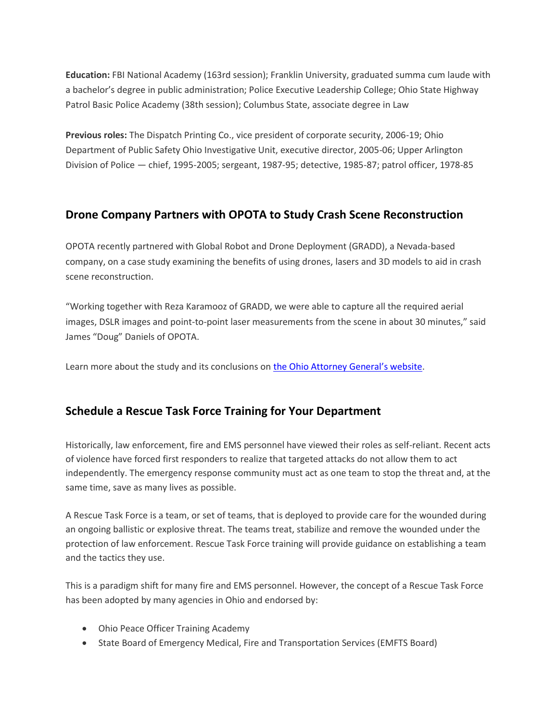**Education:** FBI National Academy (163rd session); Franklin University, graduated summa cum laude with a bachelor's degree in public administration; Police Executive Leadership College; Ohio State Highway Patrol Basic Police Academy (38th session); Columbus State, associate degree in Law

**Previous roles:** The Dispatch Printing Co., vice president of corporate security, 2006-19; Ohio Department of Public Safety Ohio Investigative Unit, executive director, 2005-06; Upper Arlington Division of Police — chief, 1995-2005; sergeant, 1987-95; detective, 1985-87; patrol officer, 1978-85

## **Drone Company Partners with OPOTA to Study Crash Scene Reconstruction**

OPOTA recently partnered with Global Robot and Drone Deployment (GRADD), a Nevada-based company, on a case study examining the benefits of using drones, lasers and 3D models to aid in crash scene reconstruction.

"Working together with Reza Karamooz of GRADD, we were able to capture all the required aerial images, DSLR images and point-to-point laser measurements from the scene in about 30 minutes," said James "Doug" Daniels of OPOTA.

Learn more about the study and its conclusions on [the Ohio Attorney General's website](https://www.ohioattorneygeneral.gov/Files/Law-Enforcement/Ohio-Peace-Officer-Training-Academy/OPOTA-news/White-Paper-on-using-UAS-at-Crash-Scenes.aspx).

## **Schedule a Rescue Task Force Training for Your Department**

Historically, law enforcement, fire and EMS personnel have viewed their roles as self-reliant. Recent acts of violence have forced first responders to realize that targeted attacks do not allow them to act independently. The emergency response community must act as one team to stop the threat and, at the same time, save as many lives as possible.

A Rescue Task Force is a team, or set of teams, that is deployed to provide care for the wounded during an ongoing ballistic or explosive threat. The teams treat, stabilize and remove the wounded under the protection of law enforcement. Rescue Task Force training will provide guidance on establishing a team and the tactics they use.

This is a paradigm shift for many fire and EMS personnel. However, the concept of a Rescue Task Force has been adopted by many agencies in Ohio and endorsed by:

- Ohio Peace Officer Training Academy
- State Board of Emergency Medical, Fire and Transportation Services (EMFTS Board)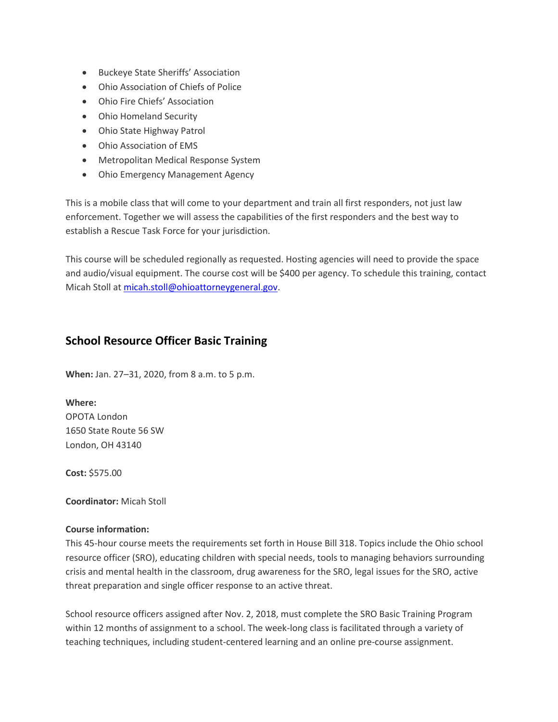- Buckeye State Sheriffs' Association
- Ohio Association of Chiefs of Police
- Ohio Fire Chiefs' Association
- Ohio Homeland Security
- Ohio State Highway Patrol
- Ohio Association of EMS
- Metropolitan Medical Response System
- Ohio Emergency Management Agency

This is a mobile class that will come to your department and train all first responders, not just law enforcement. Together we will assess the capabilities of the first responders and the best way to establish a Rescue Task Force for your jurisdiction.

This course will be scheduled regionally as requested. Hosting agencies will need to provide the space and audio/visual equipment. The course cost will be \$400 per agency. To schedule this training, contact Micah Stoll a[t micah.stoll@ohioattorneygeneral.gov.](mailto:micah.stoll@ohioattorneygeneral.gov)

## **School Resource Officer Basic Training**

**When:** Jan. 27–31, 2020, from 8 a.m. to 5 p.m.

**Where:** OPOTA London 1650 State Route 56 SW London, OH 43140

**Cost:** \$575.00

**Coordinator:** Micah Stoll

#### **Course information:**

This 45-hour course meets the requirements set forth in House Bill 318. Topics include the Ohio school resource officer (SRO), educating children with special needs, tools to managing behaviors surrounding crisis and mental health in the classroom, drug awareness for the SRO, legal issues for the SRO, active threat preparation and single officer response to an active threat.

School resource officers assigned after Nov. 2, 2018, must complete the SRO Basic Training Program within 12 months of assignment to a school. The week-long class is facilitated through a variety of teaching techniques, including student-centered learning and an online pre-course assignment.